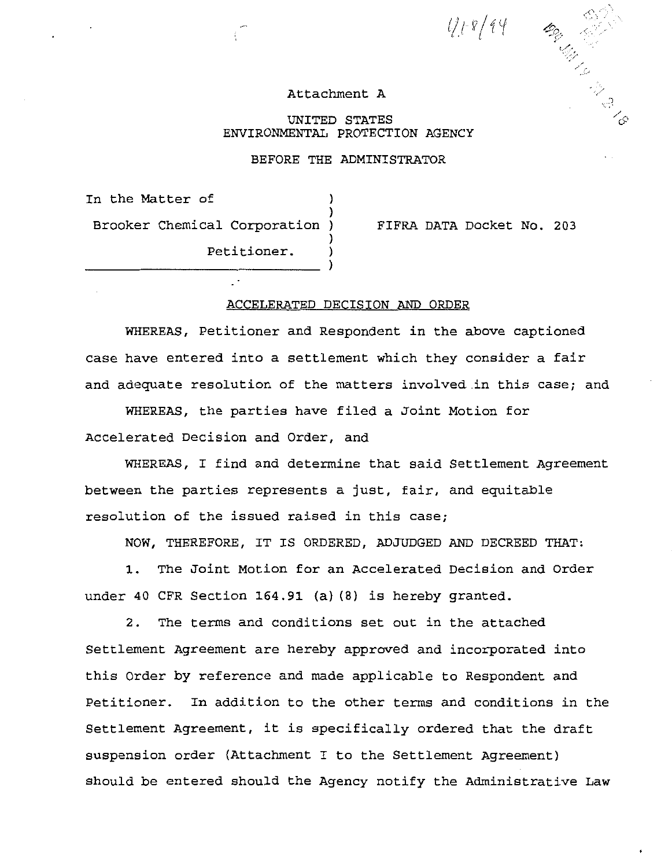$418/44$ 

 $\leq$  .  $\mathcal{L}_{\mathcal{L}}$ 

#### Attachment A

UNITED STATES ENVIRONMENTAL PROTECTION AGENCY

### BEFORE THE ADMINISTRATOR

)

)

)

In the Matter of Brooker Chemical Corporation ) Petitioner. )

FIFRA DATA Docket No. 203

## ACCELERATED DECISION AND ORDER

WHEREAS, Petitioner and Respondent in the above captioned case have entered into a settlement which they consider a fair and adequate resolution of the matters involved.in this case; and

WHEREAS, the parties have filed a Joint Motion for Accelerated Decision and Order, and

WHEREAS, I find and determine that said Settlement Agreement between the parties represents a just, fair, and equitable resolution of the issued raised in this case;

NOW, THEREFORE, IT IS ORDERED, ADJUDGED AND DECREED THAT:

1. The Joint Motion for an Accelerated Decision and Order under 40 CFR section 164.91 (a) (8) is hereby granted.

2. The terms and conditions set out in the attached Settlement Agreement are hereby approved and incorporated into this Order by reference and made applicable to Respondent and Petitioner. In addition to the other terms and conditions in the Settlement Agreement, it is specifically ordered that the draft suspension order (Attachment I to the Settlement Agreement) should be entered should the Agency notify the Administrative Law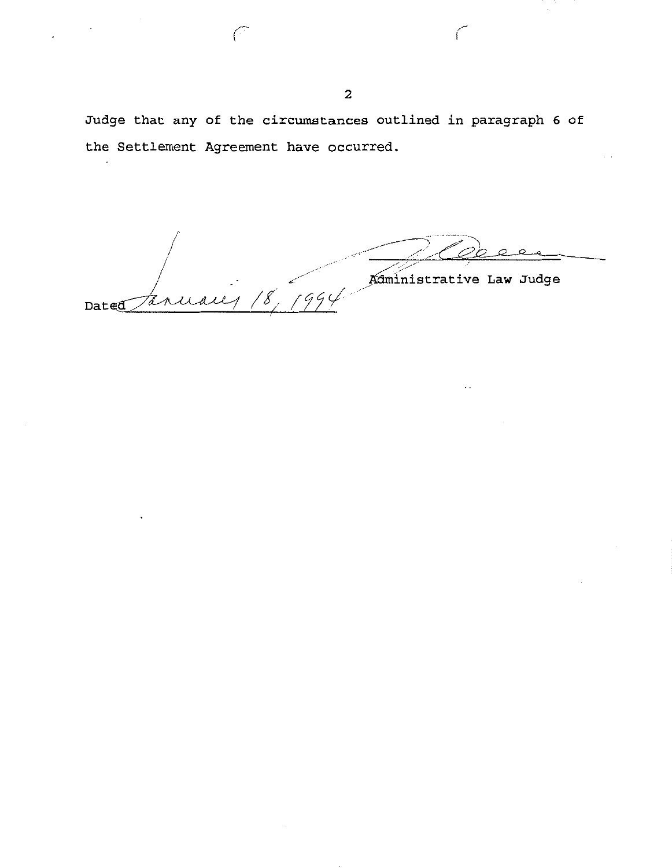Judge that any of the circumstances outlined in paragraph 6 of the Settlement Agreement have occurred.

 $\overbrace{A \text{diministrative Law Judge}}$ te n Dated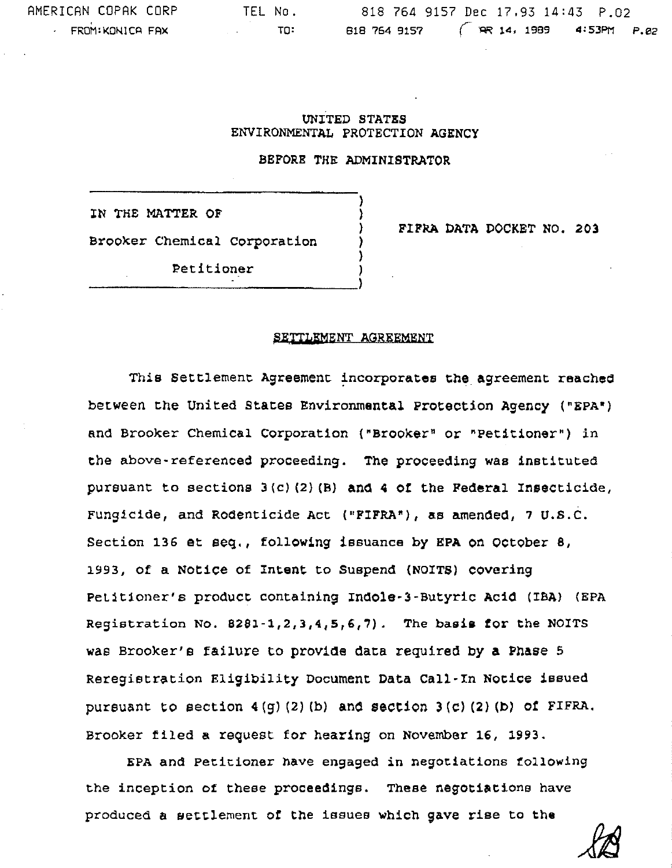# UNITED STATES ENVIRONMENTAL PROTECTION AGENCY

# BEFORE THE ADMINISTRATOR

) ) ) ) )

IN THE MATTER OF Brooker Chemical corporation

FIFRA DATA DOCKET NO. 203

Petitioner (1988)

### SETTLEMENT AGREEMENT

This Settlement Agreement incorporates the agreement reached between the United states Environmental Protection Agency ("EPA•) and Brooker Chemical Corporation ("Brooker• or "Petitioner") in the above-referenced proceeding. The proceeding was instituted pursuant to sections  $3(c)$  (2) (B) and  $4$  of the Federal Insecticide, Fungicide, and Rodenticide Act ("FIFRA"), as amended, 7 U.S.C. Section 136 et seq., following issuance by EPA on october 8, 1993, of a Notice of Intent to Suspend {NOITS) covering Petitioner's product containing Indole-3-Butyric Acid (IBA) (EPA Registration No. 8281-1,2,3,4,5,6,7). The basis for the NOITS was Brooker's failure to provide data required by a Phase  $5$ Reregistration Eligibility Document Data Call-In Notice issued pursuant to section  $4(g)(2)(b)$  and section  $3(c)(2)(b)$  of FIFRA. Brooker tiled a request for hearing on November 16, 1993.

EPA and Petitioner have engaged in negotiations following the inception of these proceedings. These negotiations have produced a settlement of the issues which gave rise to the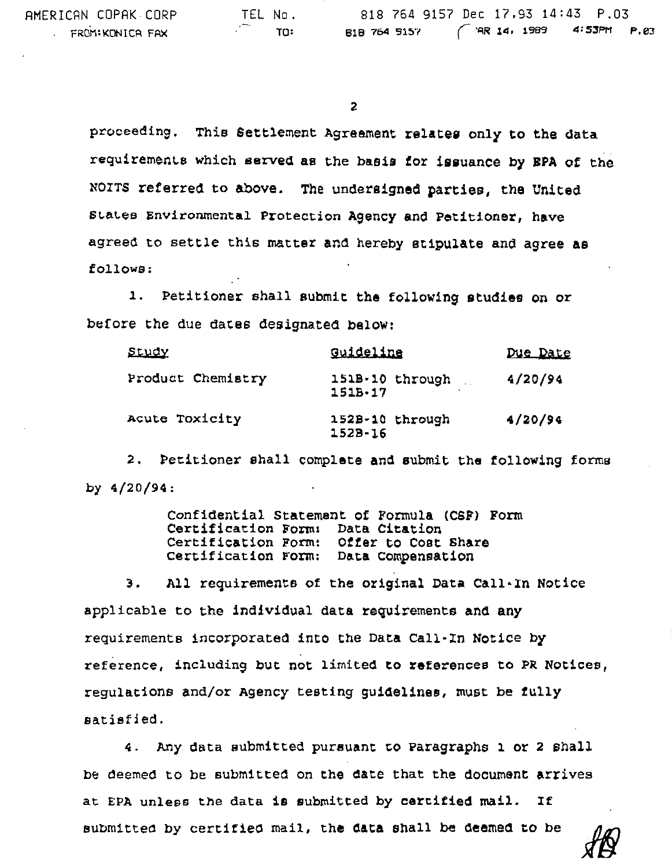AMERICAN COPAK CORP FROM:KONICA FAX

proceeding. This Settlement Agreement relates only to the data requirements which served as the basis tor issuance by BPA of the NOITS referred to above. The undersigned parties, the United States Environmental Protection Agency and Petitioner, have agreed to settle this matter and hereby stipulate and agree as follows:

l. Petitioner shall submit the following studies on or before the due dates designated below:

| Study             | Guideline                      | Due Date |
|-------------------|--------------------------------|----------|
| Product Chemistry | 151B-10 through<br>$151B - 17$ | 4/20/94  |
| Acute Toxicity    | 152B-10 through<br>$152B - 16$ | 4/20/94  |

2. Petitioner shall complete and submit the following forms by 4/20/94:

> Confidential Statement of Formula (CSF) Form Certification Forms Data Citation Certification Form: Offer to Cost Share Certification Form: Data Compensation

3. All requirements of the original Data Call·In Notice applicable to the individual data requirements and any requirements incorporated into the Data Call·In Notice by reference, including out not limited to references to PR Notices, regulations and/or Agency testing guidelines, must be tully satisfied.

4. Any data submitted pursuant to Paragraphs 1 or 2 shall be deemed to be submitted on the date that the document arrives at EPA unless the data is submitted by certified mail. If submittea by certified mail, the data shall be deemed to be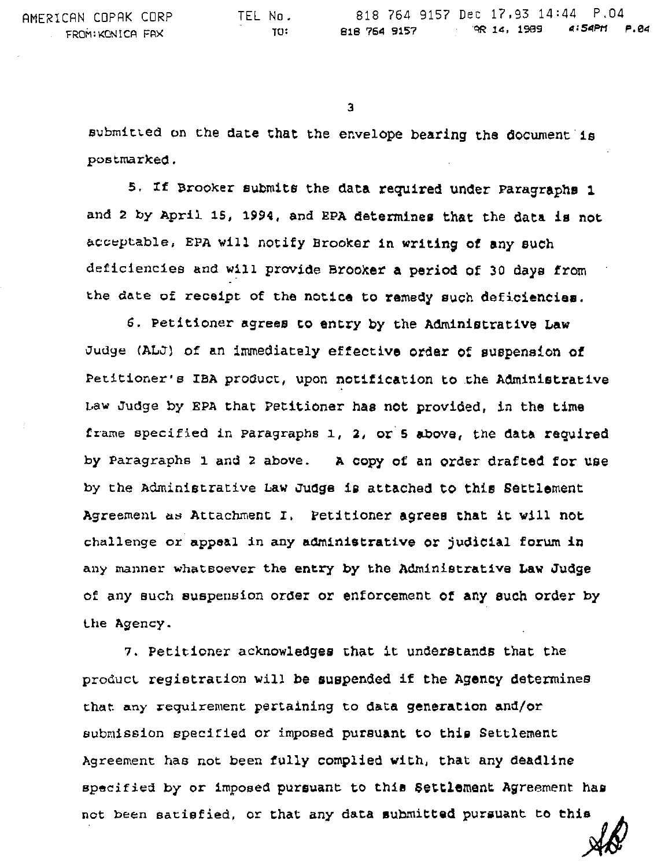3

submitted on the date that the envelope bearing the document is postmarked.

5. If Brooker submits the data required under Paragraphs 1 and 2 by April 15, 1994, and EPA determines that the data is not acceptable, EPA will notify Brooker in writing of any such deficiencies and will provide Brooker a period of 30 days from the date of receipt of the notice to remedy such deficiencies.

6. Petitioner agrees to entry by the Administrative Law Judge (ALJ) of an immediately effective order of suspension of Petitioner's IBA product, upon notification to the Administrative Law Judge by EPA that Petitioner has not provided, in the time frame specified in Paragraphs 1, 2, or 5 above, the data required by Paragraphs 1 and 2 above. A copy of an order drafted for use by the Administrative Law Judge is attached to this Settlement Agreement as Attachment I. Petitioner agrees that it will not challenge or appeal in any administrative or judicial forum in any manner whatsoever the entry by the Administrative Law Judge of any such suspension order or enforcement or any such order by Lhe Agency.

7. Petitioner acknowledges that it understands that the product registration will be suspended if the Agency determines that any requirement pertaining to data generation and/or submission specified or imposed pursuant to this Settlement Agreement has not been fully complied with, that any deadline specified by or imposed pursuant to this Settlement Agreement has not been satisfied, or that any data submitted pursuant to this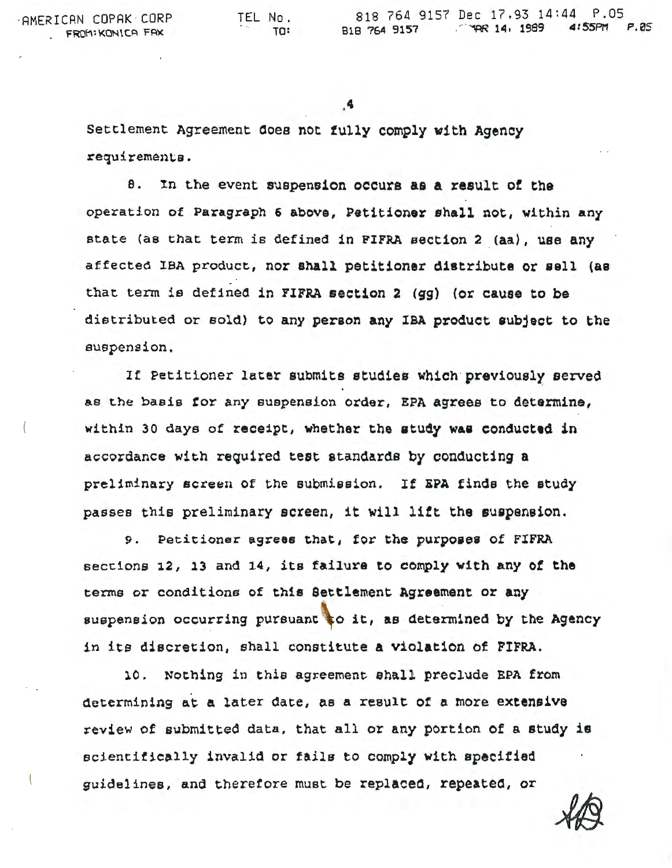·AMERICAN COPAK CORP FROM: KONICA FAX

Settlement Agreement Ooee not fully comply with Agenoy requirements.

a. In Lhe event suspension occurs as a result *ot* the operation of PAragraph 6 above, Petitioner shall not, within any state (as that term is defined in PIFRA section 2 (aa), use any affected lBA product, nor shall petitioner distribute or aell (as that term is defined in FIFRA section 2 (gg) (or cause to be distributed or sold) to any person any IBA product eubject to the suspension.

If Petitioner later submits studies which previously served as the basis for any suspension order, EPA agrees to determine, within 30 days of receipt, whether the study was conducted in accordance with reQuired test standards by conducting a preliminary screen of the submission. If EPA finds the study passes this preliminary screen, it will lift the suspension.

9. Petitioner agrees that, for the purposes of FIFRA sections 12, 13 and 14, its failure to comply with any *ot* the terms or conditions of this Settlement Agreement or any suspension occurring pursuant to it, as determined by the Agency in its discretion, shall constitute a violation of FIFRA.

10. Nothing in this agreement shall preclude EPA from determining at a later date, as a result of a more extensive review of submitted data, that all or any portion of a study is scientifically invalid or fails to comply with specified guidelines, and therefore must be replaced, repeated, or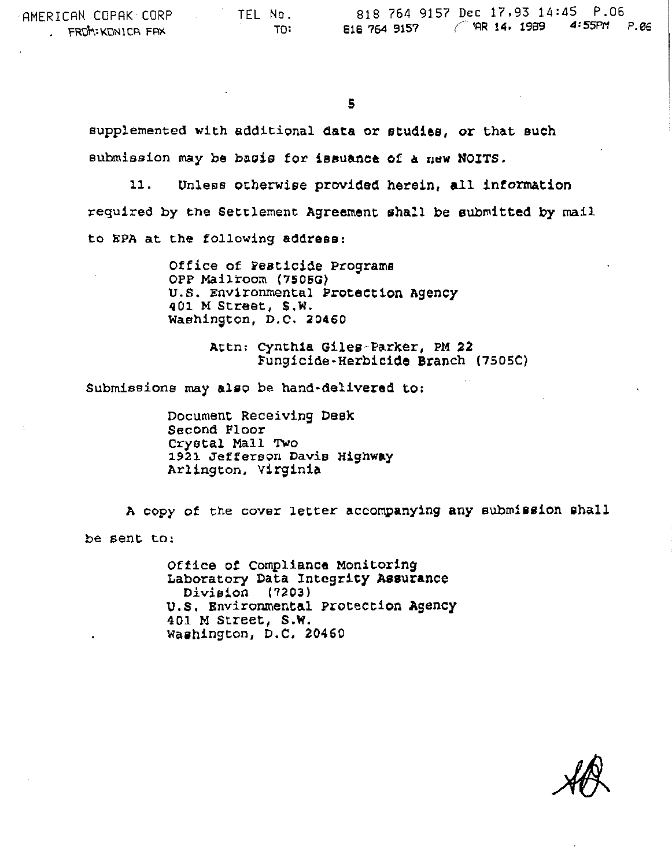supplemented with additional data or studies, or that such submission may be bacis for issuance of a new NOITS.

11. Unless otherwise provided herein, all information required by the Settlement Agreement shall be submitted by mail to EPA at the following address:

> Office of Pesticide Programs OPP Mailroom (7505G) u.s. Environmental Protection Agency 401 M Street, S.W. Waehinston, D.C. 20460

> > Attn: cynthia Giles-Parker, PM 22 Fungicide-Herbicide Branch (7SOSC)

Submissions may also be hand-delivered to:

Document Receiving Desk Second Floor Crystal Mall Two 1921 Jefferson Davis Highway Arlington, virginia

A copy of the cover letter accompanying any submission shall be sent to:

> Office ot compliance Monitoring Laboratory Data Integrity Assurance Division (7203) u.s. Environmental Protection Agency 401 M Street, s.w. Washington, D.C. 20460

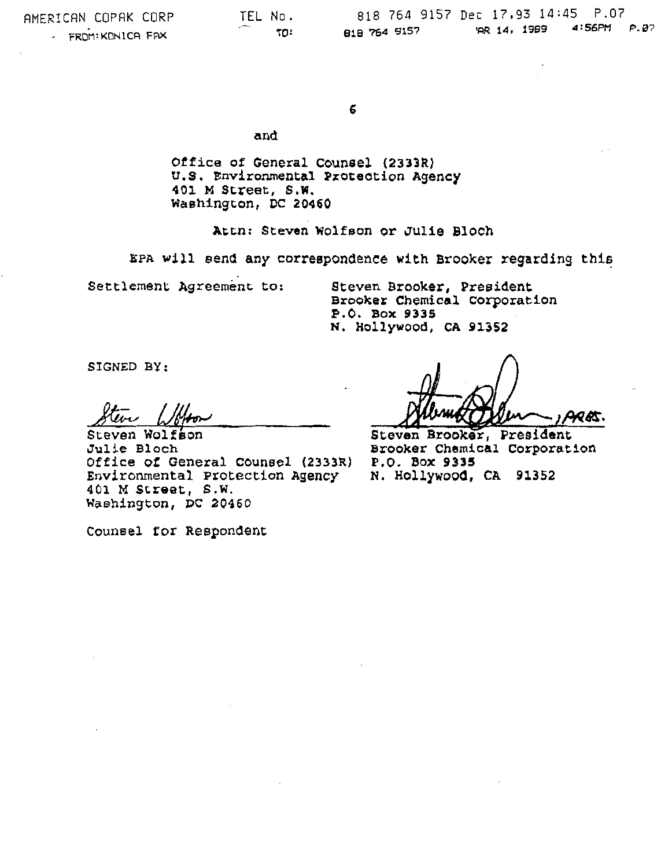6

and

Otfice of General counsel (2333R) u.s. Environmental Protection Agency 401 M Street, s.w. washington, DC 20460

Attn: Steven Wolfson or Julie Bloch

kPA will send any correspondence with Brooker regarding this

Settlement Agreement to:

Steven Brooker, President Brooker Chemical Corporation<br>P.O. Box 9335 N. Hollywood, CA 91352

SIGNED BY:

Steven Wolfson Julie Bloch Office of General Counsel (2333R) Environmental Protection Agency 401 M Street, s.w. Washington, PC 20460

ARES.

Steven Brooker, President Brooker Chemical Corporation P.O. Box **9335**  N. Hollywood, CA 91352

Counsel tor Respondent